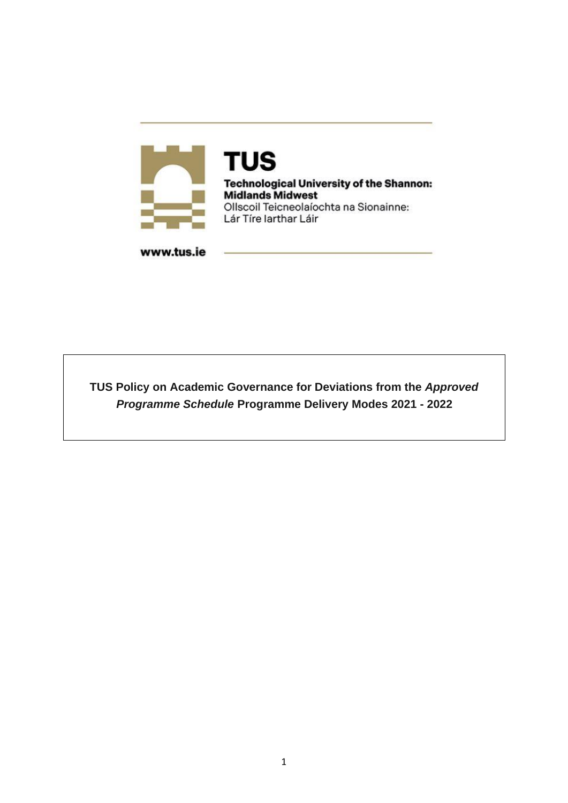

**TUS Technological University of the Shannon: Midlands Midwest** Ollscoil Teicneolaíochta na Sionainne: Lár Tíre Iarthar Láir

www.tus.ie

**TUS Policy on Academic Governance for Deviations from the** *Approved Programme Schedule* **Programme Delivery Modes 2021 - 2022**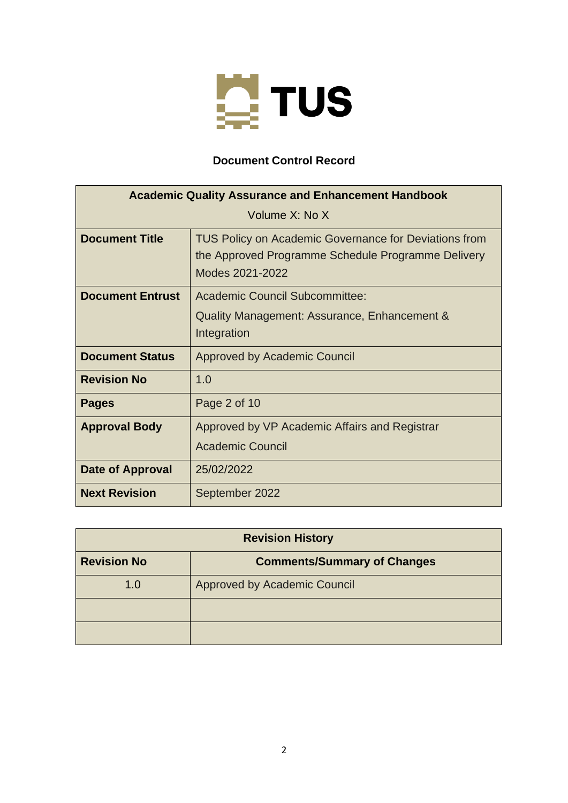

## **Document Control Record**

| <b>Academic Quality Assurance and Enhancement Handbook</b> |                                                                                                                                |  |  |  |
|------------------------------------------------------------|--------------------------------------------------------------------------------------------------------------------------------|--|--|--|
| Volume X: No X                                             |                                                                                                                                |  |  |  |
| <b>Document Title</b>                                      | TUS Policy on Academic Governance for Deviations from<br>the Approved Programme Schedule Programme Delivery<br>Modes 2021-2022 |  |  |  |
| <b>Document Entrust</b>                                    | <b>Academic Council Subcommittee:</b><br>Quality Management: Assurance, Enhancement &<br>Integration                           |  |  |  |
| <b>Document Status</b>                                     | <b>Approved by Academic Council</b>                                                                                            |  |  |  |
| <b>Revision No</b>                                         | 1.0                                                                                                                            |  |  |  |
| <b>Pages</b>                                               | Page 2 of 10                                                                                                                   |  |  |  |
| <b>Approval Body</b>                                       | Approved by VP Academic Affairs and Registrar<br><b>Academic Council</b>                                                       |  |  |  |
| Date of Approval                                           | 25/02/2022                                                                                                                     |  |  |  |
| <b>Next Revision</b>                                       | September 2022                                                                                                                 |  |  |  |

| <b>Revision History</b> |                                    |  |  |  |
|-------------------------|------------------------------------|--|--|--|
| <b>Revision No</b>      | <b>Comments/Summary of Changes</b> |  |  |  |
| 1.0                     | Approved by Academic Council       |  |  |  |
|                         |                                    |  |  |  |
|                         |                                    |  |  |  |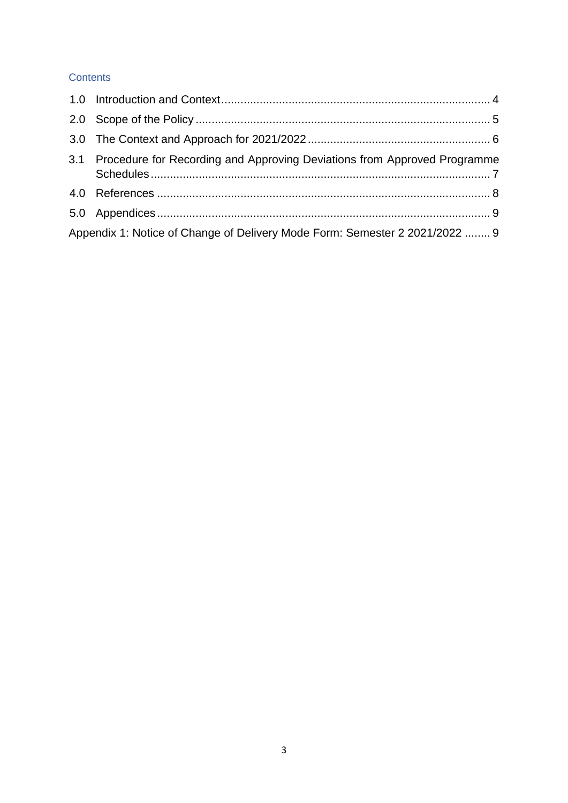#### **Contents**

| 3.1 Procedure for Recording and Approving Deviations from Approved Programme |  |
|------------------------------------------------------------------------------|--|
|                                                                              |  |
|                                                                              |  |
| Appendix 1: Notice of Change of Delivery Mode Form: Semester 2 2021/2022  9  |  |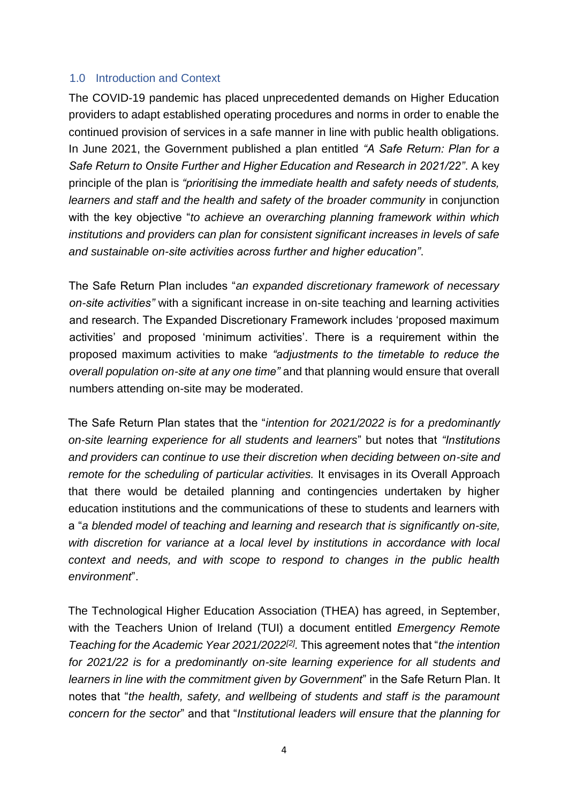## <span id="page-3-0"></span>1.0 Introduction and Context

The COVID-19 pandemic has placed unprecedented demands on Higher Education providers to adapt established operating procedures and norms in order to enable the continued provision of services in a safe manner in line with public health obligations. In June 2021, the Government published a plan entitled *"A Safe Return: Plan for a Safe Return to Onsite Further and Higher Education and Research in 2021/22"*. A key principle of the plan is *"prioritising the immediate health and safety needs of students, learners and staff and the health and safety of the broader community* in conjunction with the key objective "*to achieve an overarching planning framework within which institutions and providers can plan for consistent significant increases in levels of safe and sustainable on-site activities across further and higher education"*.

The Safe Return Plan includes "*an expanded discretionary framework of necessary on-site activities"* with a significant increase in on-site teaching and learning activities and research. The Expanded Discretionary Framework includes 'proposed maximum activities' and proposed 'minimum activities'. There is a requirement within the proposed maximum activities to make *"adjustments to the timetable to reduce the overall population on-site at any one time"* and that planning would ensure that overall numbers attending on-site may be moderated.

The Safe Return Plan states that the "*intention for 2021/2022 is for a predominantly on-site learning experience for all students and learners*" but notes that *"Institutions and providers can continue to use their discretion when deciding between on-site and remote for the scheduling of particular activities.* It envisages in its Overall Approach that there would be detailed planning and contingencies undertaken by higher education institutions and the communications of these to students and learners with a "*a blended model of teaching and learning and research that is significantly on-site, with discretion for variance at a local level by institutions in accordance with local context and needs, and with scope to respond to changes in the public health environment*".

The Technological Higher Education Association (THEA) has agreed, in September, with the Teachers Union of Ireland (TUI) a document entitled *Emergency Remote Teaching for the Academic Year 2021/2022[2] .* This agreement notes that "*the intention for 2021/22 is for a predominantly on-site learning experience for all students and learners in line with the commitment given by Government*" in the Safe Return Plan. It notes that "*the health, safety, and wellbeing of students and staff is the paramount concern for the sector*" and that "*Institutional leaders will ensure that the planning for*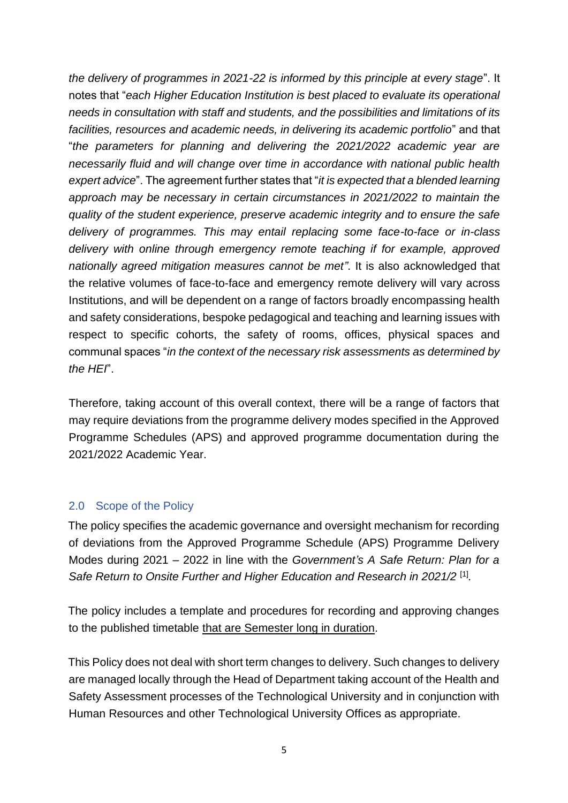*the delivery of programmes in 2021-22 is informed by this principle at every stage*". It notes that "*each Higher Education Institution is best placed to evaluate its operational needs in consultation with staff and students, and the possibilities and limitations of its facilities, resources and academic needs, in delivering its academic portfolio*" and that "*the parameters for planning and delivering the 2021/2022 academic year are necessarily fluid and will change over time in accordance with national public health expert advice*". The agreement further states that "*it is expected that a blended learning approach may be necessary in certain circumstances in 2021/2022 to maintain the quality of the student experience, preserve academic integrity and to ensure the safe delivery of programmes. This may entail replacing some face-to-face or in-class delivery with online through emergency remote teaching if for example, approved nationally agreed mitigation measures cannot be met"*. It is also acknowledged that the relative volumes of face-to-face and emergency remote delivery will vary across Institutions, and will be dependent on a range of factors broadly encompassing health and safety considerations, bespoke pedagogical and teaching and learning issues with respect to specific cohorts, the safety of rooms, offices, physical spaces and communal spaces "*in the context of the necessary risk assessments as determined by the HEI*".

Therefore, taking account of this overall context, there will be a range of factors that may require deviations from the programme delivery modes specified in the Approved Programme Schedules (APS) and approved programme documentation during the 2021/2022 Academic Year.

### <span id="page-4-0"></span>2.0 Scope of the Policy

The policy specifies the academic governance and oversight mechanism for recording of deviations from the Approved Programme Schedule (APS) Programme Delivery Modes during 2021 – 2022 in line with the *Government's A Safe Return: Plan for a*  Safe Return to Onsite Further and Higher Education and Research in 2021/2<sup>[1]</sup>.

The policy includes a template and procedures for recording and approving changes to the published timetable that are Semester long in duration.

This Policy does not deal with short term changes to delivery. Such changes to delivery are managed locally through the Head of Department taking account of the Health and Safety Assessment processes of the Technological University and in conjunction with Human Resources and other Technological University Offices as appropriate.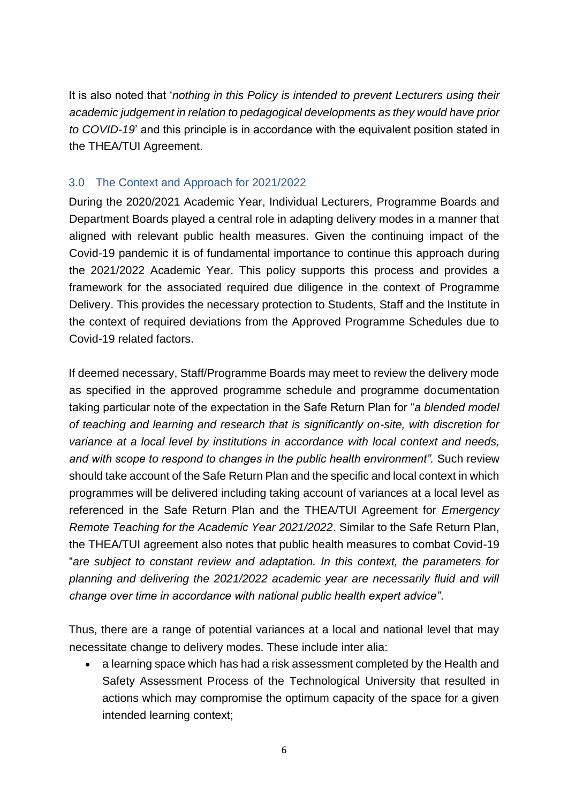It is also noted that '*nothing in this Policy is intended to prevent Lecturers using their academic judgement in relation to pedagogical developments as they would have prior to COVID-19*' and this principle is in accordance with the equivalent position stated in the THEA/TUI Agreement.

## <span id="page-5-0"></span>3.0 The Context and Approach for 2021/2022

During the 2020/2021 Academic Year, Individual Lecturers, Programme Boards and Department Boards played a central role in adapting delivery modes in a manner that aligned with relevant public health measures. Given the continuing impact of the Covid-19 pandemic it is of fundamental importance to continue this approach during the 2021/2022 Academic Year. This policy supports this process and provides a framework for the associated required due diligence in the context of Programme Delivery. This provides the necessary protection to Students, Staff and the Institute in the context of required deviations from the Approved Programme Schedules due to Covid-19 related factors.

If deemed necessary, Staff/Programme Boards may meet to review the delivery mode as specified in the approved programme schedule and programme documentation taking particular note of the expectation in the Safe Return Plan for "*a blended model of teaching and learning and research that is significantly on-site, with discretion for variance at a local level by institutions in accordance with local context and needs, and with scope to respond to changes in the public health environment".* Such review should take account of the Safe Return Plan and the specific and local context in which programmes will be delivered including taking account of variances at a local level as referenced in the Safe Return Plan and the THEA/TUI Agreement for *Emergency Remote Teaching for the Academic Year 2021/2022*. Similar to the Safe Return Plan, the THEA/TUI agreement also notes that public health measures to combat Covid-19 "*are subject to constant review and adaptation. In this context, the parameters for planning and delivering the 2021/2022 academic year are necessarily fluid and will change over time in accordance with national public health expert advice"*.

Thus, there are a range of potential variances at a local and national level that may necessitate change to delivery modes. These include inter alia:

• a learning space which has had a risk assessment completed by the Health and Safety Assessment Process of the Technological University that resulted in actions which may compromise the optimum capacity of the space for a given intended learning context;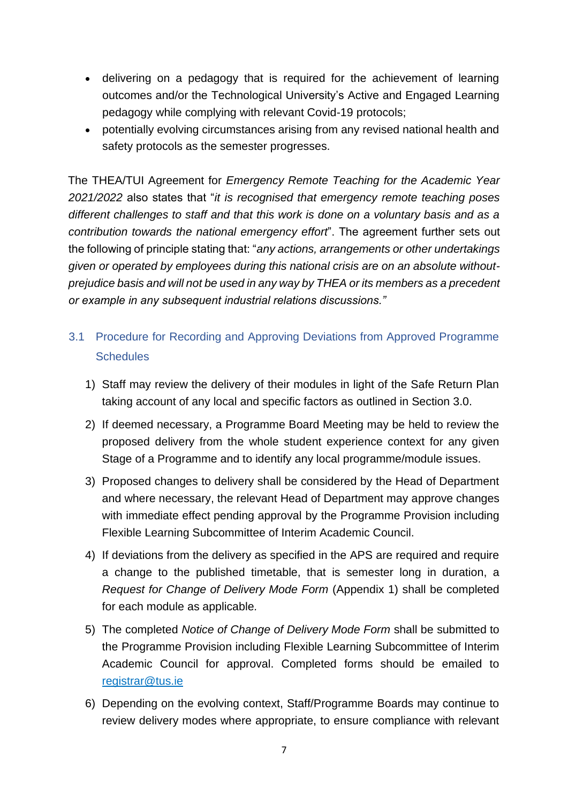- delivering on a pedagogy that is required for the achievement of learning outcomes and/or the Technological University's Active and Engaged Learning pedagogy while complying with relevant Covid-19 protocols;
- potentially evolving circumstances arising from any revised national health and safety protocols as the semester progresses.

The THEA/TUI Agreement for *Emergency Remote Teaching for the Academic Year 2021/2022* also states that "*it is recognised that emergency remote teaching poses different challenges to staff and that this work is done on a voluntary basis and as a contribution towards the national emergency effort*". The agreement further sets out the following of principle stating that: "*any actions, arrangements or other undertakings given or operated by employees during this national crisis are on an absolute withoutprejudice basis and will not be used in any way by THEA or its members as a precedent or example in any subsequent industrial relations discussions."*

- <span id="page-6-0"></span>3.1 Procedure for Recording and Approving Deviations from Approved Programme **Schedules** 
	- 1) Staff may review the delivery of their modules in light of the Safe Return Plan taking account of any local and specific factors as outlined in Section 3.0.
	- 2) If deemed necessary, a Programme Board Meeting may be held to review the proposed delivery from the whole student experience context for any given Stage of a Programme and to identify any local programme/module issues.
	- 3) Proposed changes to delivery shall be considered by the Head of Department and where necessary, the relevant Head of Department may approve changes with immediate effect pending approval by the Programme Provision including Flexible Learning Subcommittee of Interim Academic Council.
	- 4) If deviations from the delivery as specified in the APS are required and require a change to the published timetable, that is semester long in duration, a *Request for Change of Delivery Mode Form* (Appendix 1) shall be completed for each module as applicable*.*
	- 5) The completed *Notice of Change of Delivery Mode Form* shall be submitted to the Programme Provision including Flexible Learning Subcommittee of Interim Academic Council for approval. Completed forms should be emailed to registrar@tus.ie
	- 6) Depending on the evolving context, Staff/Programme Boards may continue to review delivery modes where appropriate, to ensure compliance with relevant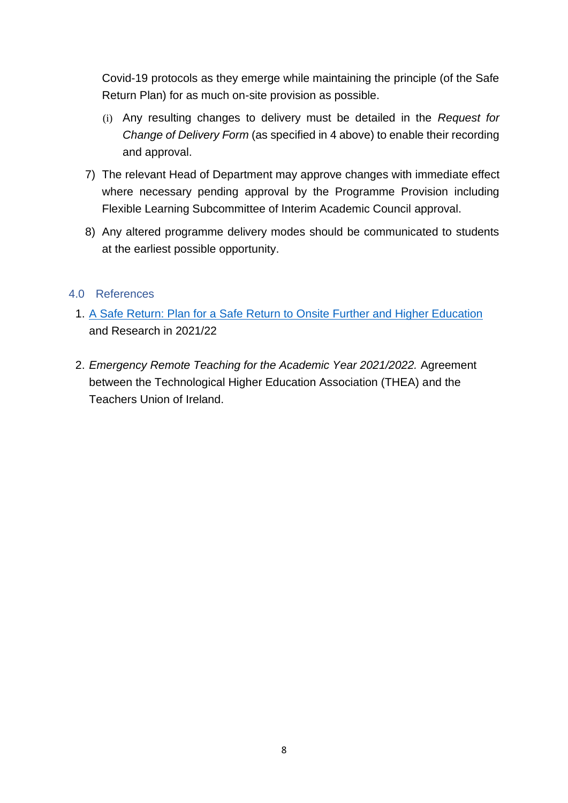Covid-19 protocols as they emerge while maintaining the principle (of the Safe Return Plan) for as much on-site provision as possible.

- (i) Any resulting changes to delivery must be detailed in the *Request for Change of Delivery Form* (as specified in 4 above) to enable their recording and approval.
- 7) The relevant Head of Department may approve changes with immediate effect where necessary pending approval by the Programme Provision including Flexible Learning Subcommittee of Interim Academic Council approval.
- 8) Any altered programme delivery modes should be communicated to students at the earliest possible opportunity.

### <span id="page-7-0"></span>4.0 References

- 1. [A Safe Return: Plan for a Safe Return to Onsite Further and Higher Education](https://www.gov.ie/en/publication/bcd91-a-safe-return-to-on-site-furtherand-higher-education-and-research/) and Research in 2021/22
- 2. *Emergency Remote Teaching for the Academic Year 2021/2022.* Agreement between the Technological Higher Education Association (THEA) and the Teachers Union of Ireland.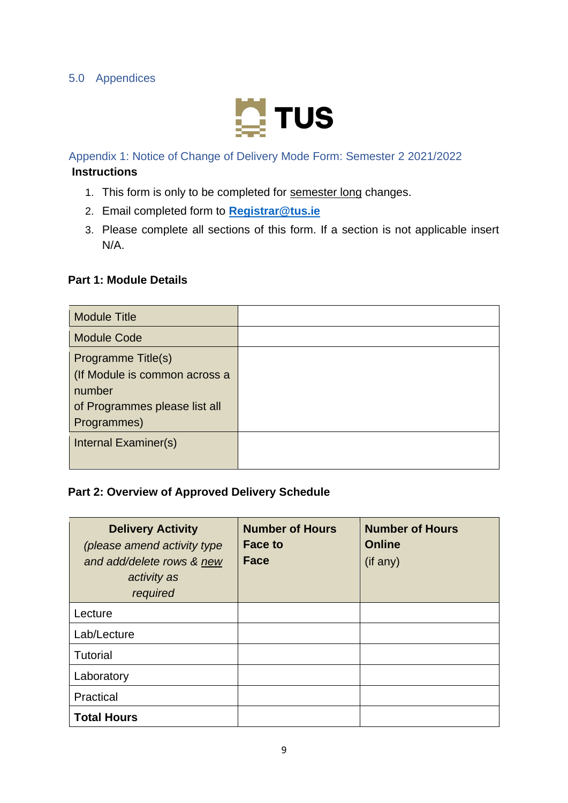

<span id="page-8-1"></span><span id="page-8-0"></span>Appendix 1: Notice of Change of Delivery Mode Form: Semester 2 2021/2022

#### **Instructions**

- 1. This form is only to be completed for semester long changes.
- 2. Email completed form to **[Registrar@tus.ie](mailto:Registrar@tus.ie)**
- 3. Please complete all sections of this form. If a section is not applicable insert N/A.

#### **Part 1: Module Details**

| <b>Module Title</b>           |  |
|-------------------------------|--|
| <b>Module Code</b>            |  |
| Programme Title(s)            |  |
| (If Module is common across a |  |
| number                        |  |
| of Programmes please list all |  |
| Programmes)                   |  |
| Internal Examiner(s)          |  |
|                               |  |

## **Part 2: Overview of Approved Delivery Schedule**

| <b>Delivery Activity</b><br>(please amend activity type<br>and add/delete rows & new<br>activity as<br>required | <b>Number of Hours</b><br><b>Face to</b><br><b>Face</b> | <b>Number of Hours</b><br><b>Online</b><br>$($ if any $)$ |
|-----------------------------------------------------------------------------------------------------------------|---------------------------------------------------------|-----------------------------------------------------------|
| Lecture                                                                                                         |                                                         |                                                           |
| Lab/Lecture                                                                                                     |                                                         |                                                           |
| <b>Tutorial</b>                                                                                                 |                                                         |                                                           |
| Laboratory                                                                                                      |                                                         |                                                           |
| Practical                                                                                                       |                                                         |                                                           |
| <b>Total Hours</b>                                                                                              |                                                         |                                                           |